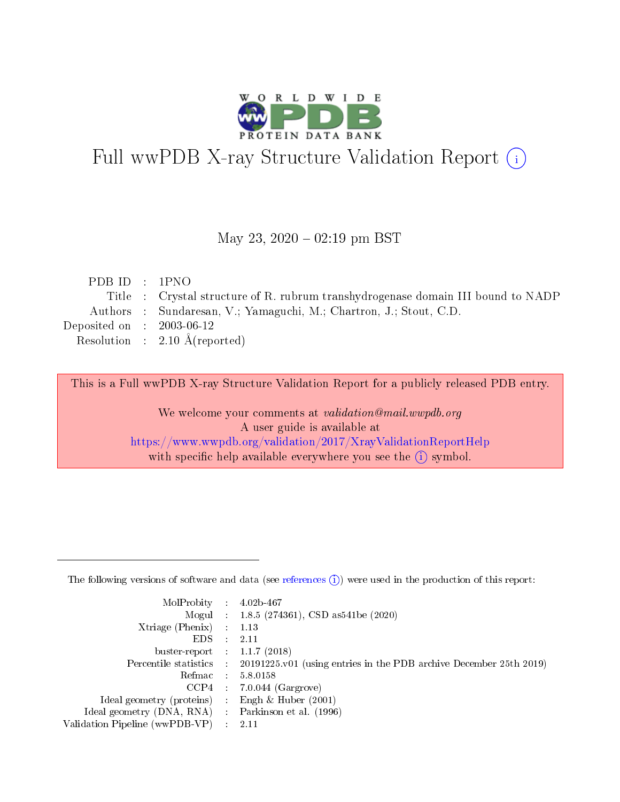

# Full wwPDB X-ray Structure Validation Report (i)

#### May 23,  $2020 - 02:19$  pm BST

| PDBID : IPNO                |                                                                                  |
|-----------------------------|----------------------------------------------------------------------------------|
|                             | Title : Crystal structure of R. rubrum transhydrogenese domain III bound to NADP |
|                             | Authors : Sundaresan, V.; Yamaguchi, M.; Chartron, J.; Stout, C.D.               |
| Deposited on : $2003-06-12$ |                                                                                  |
|                             | Resolution : $2.10 \text{ Å}$ (reported)                                         |
|                             |                                                                                  |

This is a Full wwPDB X-ray Structure Validation Report for a publicly released PDB entry.

We welcome your comments at validation@mail.wwpdb.org A user guide is available at <https://www.wwpdb.org/validation/2017/XrayValidationReportHelp> with specific help available everywhere you see the  $(i)$  symbol.

The following versions of software and data (see [references](https://www.wwpdb.org/validation/2017/XrayValidationReportHelp#references)  $(1)$ ) were used in the production of this report:

| $MolProbability$ 4.02b-467                          |               |                                                                                            |
|-----------------------------------------------------|---------------|--------------------------------------------------------------------------------------------|
|                                                     |               | Mogul : 1.8.5 (274361), CSD as 541be (2020)                                                |
| $Xtriangle (Phenix)$ : 1.13                         |               |                                                                                            |
| EDS -                                               | $\mathcal{L}$ | 2.11                                                                                       |
| buster-report : $1.1.7(2018)$                       |               |                                                                                            |
|                                                     |               | Percentile statistics : 20191225.v01 (using entries in the PDB archive December 25th 2019) |
| Refmac $5.8.0158$                                   |               |                                                                                            |
|                                                     |               | $CCP4$ : 7.0.044 (Gargrove)                                                                |
| Ideal geometry (proteins) :                         |               | Engh $\&$ Huber (2001)                                                                     |
| Ideal geometry (DNA, RNA) : Parkinson et al. (1996) |               |                                                                                            |
| Validation Pipeline (wwPDB-VP) : 2.11               |               |                                                                                            |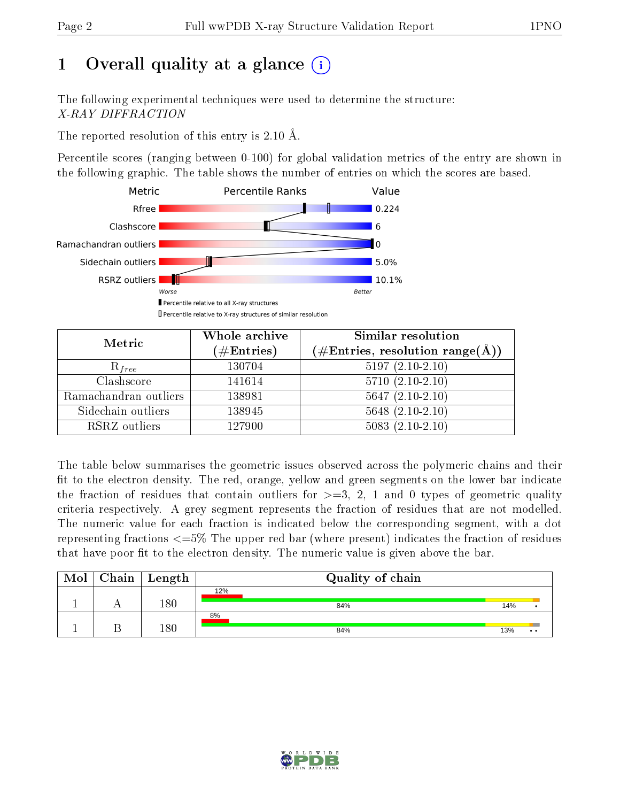# 1 [O](https://www.wwpdb.org/validation/2017/XrayValidationReportHelp#overall_quality)verall quality at a glance  $(i)$

The following experimental techniques were used to determine the structure: X-RAY DIFFRACTION

The reported resolution of this entry is 2.10 Å.

Percentile scores (ranging between 0-100) for global validation metrics of the entry are shown in the following graphic. The table shows the number of entries on which the scores are based.



| Metric                | Whole archive<br>$(\#\text{Entries})$ | Similar resolution<br>$(\#\text{Entries}, \text{resolution range}(\text{\AA}))$ |  |  |
|-----------------------|---------------------------------------|---------------------------------------------------------------------------------|--|--|
| $R_{free}$            | 130704                                | $5197(2.10-2.10)$                                                               |  |  |
| Clashscore            | 141614                                | $5710(2.10-2.10)$                                                               |  |  |
| Ramachandran outliers | 138981                                | $5647(2.10-2.10)$                                                               |  |  |
| Sidechain outliers    | 138945                                | $5648$ $(2.10-2.10)$                                                            |  |  |
| RSRZ outliers         | 127900                                | $5083(2.10-2.10)$                                                               |  |  |

The table below summarises the geometric issues observed across the polymeric chains and their fit to the electron density. The red, orange, yellow and green segments on the lower bar indicate the fraction of residues that contain outliers for  $>=3, 2, 1$  and 0 types of geometric quality criteria respectively. A grey segment represents the fraction of residues that are not modelled. The numeric value for each fraction is indicated below the corresponding segment, with a dot representing fractions  $\epsilon=5\%$  The upper red bar (where present) indicates the fraction of residues that have poor fit to the electron density. The numeric value is given above the bar.

| Mol | $\mid$ Chain $\mid$ Length | Quality of chain |     |              |
|-----|----------------------------|------------------|-----|--------------|
|     |                            | 12%              |     |              |
|     | $180\,$                    | 84%              | 14% |              |
|     |                            | 8%               |     |              |
|     | $180\,$                    | 84%              | 13% | $\cdot\cdot$ |

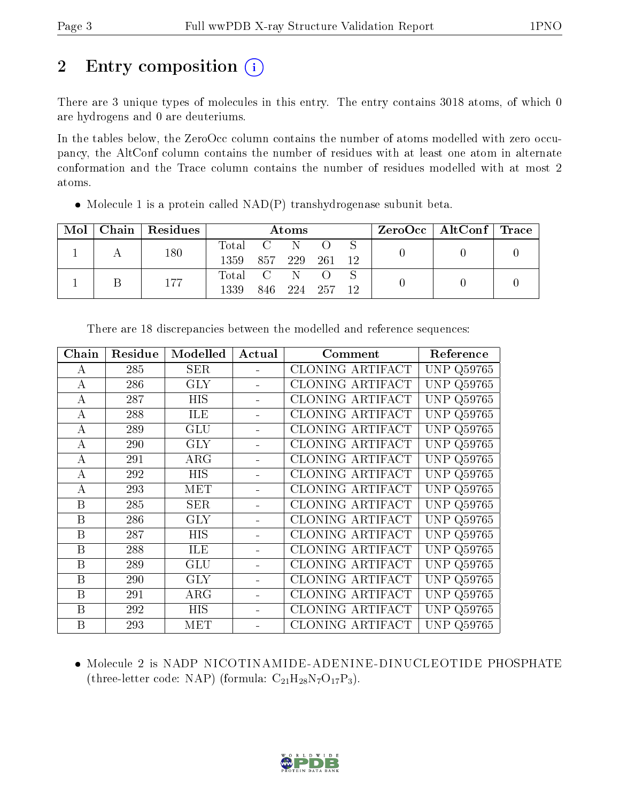# 2 Entry composition  $\left( \cdot \right)$

There are 3 unique types of molecules in this entry. The entry contains 3018 atoms, of which 0 are hydrogens and 0 are deuteriums.

In the tables below, the ZeroOcc column contains the number of atoms modelled with zero occupancy, the AltConf column contains the number of residues with at least one atom in alternate conformation and the Trace column contains the number of residues modelled with at most 2 atoms.

| Mol | Chain Residues | Atoms         |                |  |                |  |  | $\text{ZeroOcc} \mid \text{AltConf} \mid \text{Trace} \mid$ |  |
|-----|----------------|---------------|----------------|--|----------------|--|--|-------------------------------------------------------------|--|
|     | 180            | Total C N O S |                |  |                |  |  |                                                             |  |
|     |                | 1359          | 857 229 261 12 |  |                |  |  |                                                             |  |
|     | 177            | Total C N O   |                |  |                |  |  |                                                             |  |
|     |                | 1339          |                |  | 846 224 257 12 |  |  |                                                             |  |

• Molecule 1 is a protein called  $NAD(P)$  transhydrogenase subunit beta.

| Chain            | Residue | Modelled   | Actual | Comment                 | Reference         |
|------------------|---------|------------|--------|-------------------------|-------------------|
| A                | 285     | $\rm{SER}$ |        | CLONING ARTIFACT        | <b>UNP Q59765</b> |
| $\mathbf{A}$     | 286     | <b>GLY</b> |        | CLONING ARTIFACT        | <b>UNP Q59765</b> |
| A                | 287     | <b>HIS</b> |        | CLONING ARTIFACT        | <b>UNP Q59765</b> |
| А                | 288     | ILE        |        | CLONING ARTIFACT        | <b>UNP Q59765</b> |
| А                | 289     | GLU        |        | CLONING ARTIFACT        | <b>UNP Q59765</b> |
| $\boldsymbol{A}$ | 290     | <b>GLY</b> |        | <b>CLONING ARTIFACT</b> | <b>UNP Q59765</b> |
| A                | 291     | $\rm{ARG}$ |        | CLONING ARTIFACT        | <b>UNP Q59765</b> |
| А                | 292     | HIS        |        | CLONING ARTIFACT        | <b>UNP Q59765</b> |
| А                | 293     | MET        |        | CLONING ARTIFACT        | <b>UNP Q59765</b> |
| B                | 285     | SER        |        | CLONING ARTIFACT        | <b>UNP Q59765</b> |
| B                | 286     | GLY        |        | <b>CLONING ARTIFACT</b> | <b>UNP Q59765</b> |
| B                | 287     | <b>HIS</b> |        | CLONING ARTIFACT        | <b>UNP Q59765</b> |
| B                | 288     | ILE        |        | CLONING ARTIFACT        | <b>UNP Q59765</b> |
| B                | 289     | GLU        |        | <b>CLONING ARTIFACT</b> | <b>UNP Q59765</b> |
| B                | 290     | <b>GLY</b> |        | <b>CLONING ARTIFACT</b> | <b>UNP Q59765</b> |
| B                | 291     | $\rm{ARG}$ |        | <b>CLONING ARTIFACT</b> | <b>UNP Q59765</b> |
| B                | 292     | <b>HIS</b> |        | CLONING ARTIFACT        | <b>UNP Q59765</b> |
| B                | 293     | MET        |        | <b>CLONING ARTIFACT</b> | <b>UNP Q59765</b> |

There are 18 discrepancies between the modelled and reference sequences:

• Molecule 2 is NADP NICOTINAMIDE-ADENINE-DINUCLEOTIDE PHOSPHATE (three-letter code: NAP) (formula:  $C_{21}H_{28}N_7O_{17}P_3$ ).

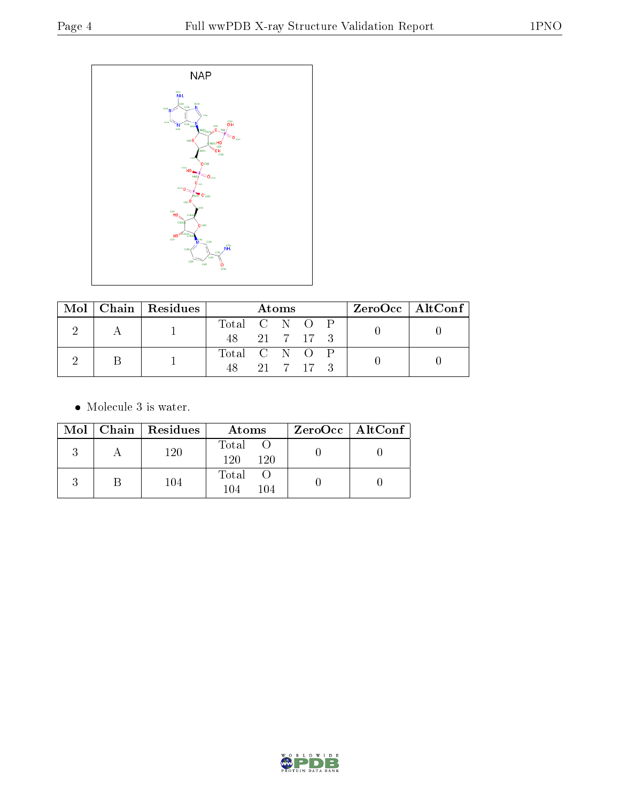

|  |  | $Mol$   Chain   Residues | Atoms         |  |  | $ZeroOcc \mid AltConf \mid$ |  |
|--|--|--------------------------|---------------|--|--|-----------------------------|--|
|  |  |                          | Total C N O P |  |  |                             |  |
|  |  | 48 21 7 17 3             |               |  |  |                             |  |
|  |  |                          | Total C N O P |  |  |                             |  |
|  |  | 48 21 7 17 3             |               |  |  |                             |  |

• Molecule 3 is water.

|  | Mol   Chain   Residues | Atoms                 | $ZeroOcc \   \ AltConf \  $ |
|--|------------------------|-----------------------|-----------------------------|
|  | 120                    | Total O<br>120<br>120 |                             |
|  | 104                    | Total<br>104<br>104   |                             |

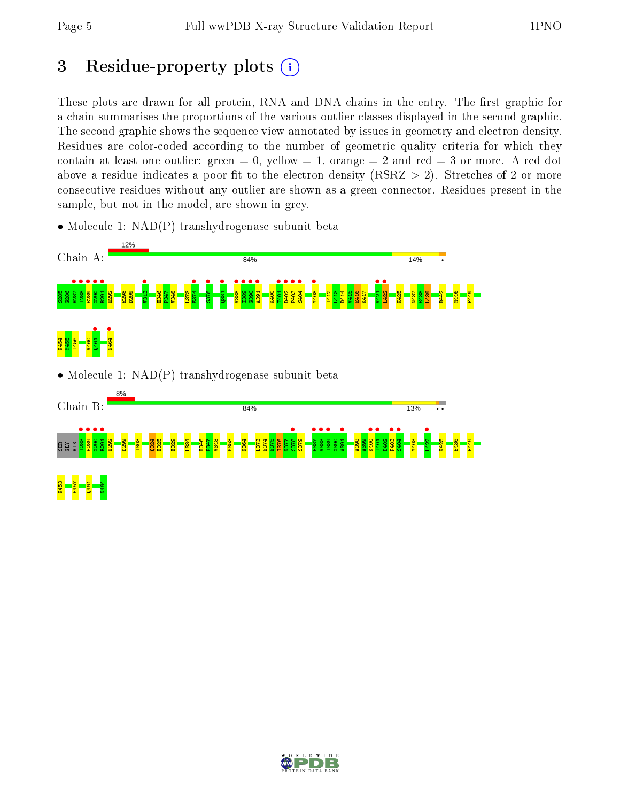# 3 Residue-property plots  $(i)$

These plots are drawn for all protein, RNA and DNA chains in the entry. The first graphic for a chain summarises the proportions of the various outlier classes displayed in the second graphic. The second graphic shows the sequence view annotated by issues in geometry and electron density. Residues are color-coded according to the number of geometric quality criteria for which they contain at least one outlier: green  $= 0$ , yellow  $= 1$ , orange  $= 2$  and red  $= 3$  or more. A red dot above a residue indicates a poor fit to the electron density (RSRZ  $> 2$ ). Stretches of 2 or more consecutive residues without any outlier are shown as a green connector. Residues present in the sample, but not in the model, are shown in grey.

• Molecule 1: NAD(P) transhydrogenase subunit beta



• Molecule 1: NAD(P) transhydrogenase subunit beta



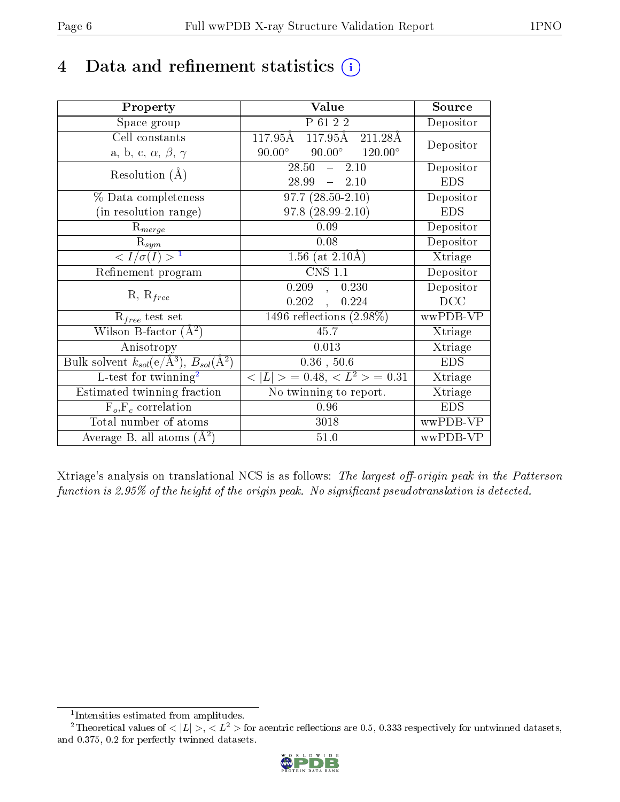# 4 Data and refinement statistics  $(i)$

| Property                                                         | <b>Value</b>                                        | Source     |
|------------------------------------------------------------------|-----------------------------------------------------|------------|
| Space group                                                      | P 61 2 2                                            | Depositor  |
| Cell constants                                                   | $117.95\text{\AA}$<br>$117.95\text{\AA}$<br>211.28Å | Depositor  |
| a, b, c, $\alpha$ , $\beta$ , $\gamma$                           | $90.00^\circ$<br>$90.00^\circ$<br>$120.00^{\circ}$  |            |
| Resolution $(A)$                                                 | 28.50<br>2.10<br>$\frac{1}{2}$                      | Depositor  |
|                                                                  | $-2.10$<br>28.99                                    | <b>EDS</b> |
| % Data completeness                                              | $97.7(28.50-2.10)$                                  | Depositor  |
| (in resolution range)                                            | 97.8 (28.99-2.10)                                   | <b>EDS</b> |
| $R_{merge}$                                                      | 0.09                                                | Depositor  |
| $\mathrm{R}_{sym}$                                               | 0.08                                                | Depositor  |
| $\sqrt{I/\sigma}(I) > 1$                                         | 1.56 (at $2.10\text{\AA})$                          | Xtriage    |
| Refinement program                                               | $\overline{\text{CNS} 1.1}$                         | Depositor  |
|                                                                  | 0.209<br>0.230<br>$\overline{a}$                    | Depositor  |
| $R, R_{free}$                                                    | 0.202<br>0.224<br>$\mathcal{L}$                     | DCC        |
| $R_{free}$ test set                                              | $\overline{1496}$ reflections $(2.98\%)$            | wwPDB-VP   |
| Wilson B-factor $(A^2)$                                          | 45.7                                                | Xtriage    |
| Anisotropy                                                       | 0.013                                               | Xtriage    |
| Bulk solvent $k_{sol}(\text{e}/\text{A}^3), B_{sol}(\text{A}^2)$ | $0.36$ , $50.6$                                     | <b>EDS</b> |
| L-test for $\mathrm{twinning}^2$                                 | $< L >$ = 0.48, $< L2$ = 0.31                       | Xtriage    |
| Estimated twinning fraction                                      | No twinning to report.                              | Xtriage    |
| $F_o, F_c$ correlation                                           | 0.96                                                | <b>EDS</b> |
| Total number of atoms                                            | 3018                                                | wwPDB-VP   |
| Average B, all atoms $(A^2)$                                     | 51.0                                                | wwPDB-VP   |

Xtriage's analysis on translational NCS is as follows: The largest off-origin peak in the Patterson function is 2.95% of the height of the origin peak. No significant pseudotranslation is detected.

<sup>&</sup>lt;sup>2</sup>Theoretical values of  $\langle |L| \rangle$ ,  $\langle L^2 \rangle$  for acentric reflections are 0.5, 0.333 respectively for untwinned datasets, and 0.375, 0.2 for perfectly twinned datasets.



<span id="page-5-1"></span><span id="page-5-0"></span><sup>1</sup> Intensities estimated from amplitudes.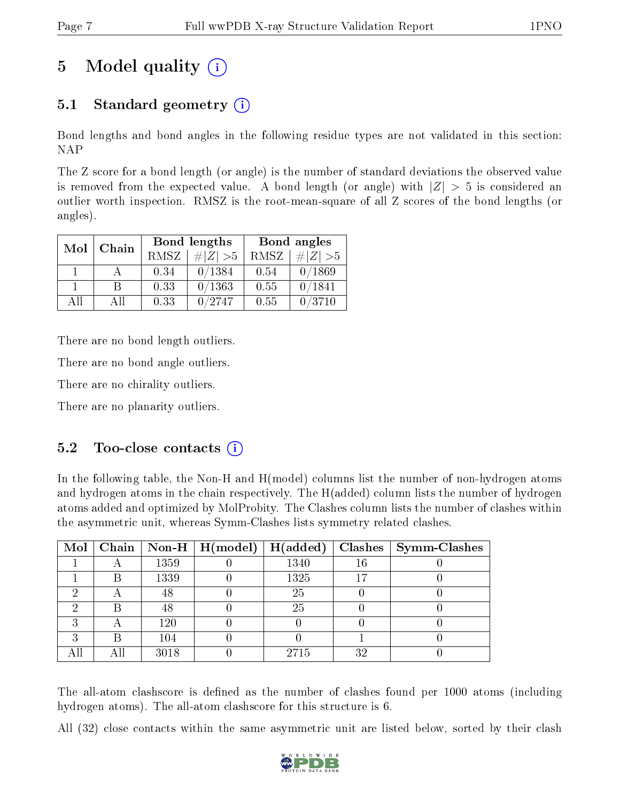# 5 Model quality  $(i)$

## 5.1 Standard geometry (i)

Bond lengths and bond angles in the following residue types are not validated in this section: NAP

The Z score for a bond length (or angle) is the number of standard deviations the observed value is removed from the expected value. A bond length (or angle) with  $|Z| > 5$  is considered an outlier worth inspection. RMSZ is the root-mean-square of all Z scores of the bond lengths (or angles).

| Mol          | Chain |      | <b>Bond lengths</b> | Bond angles |             |  |
|--------------|-------|------|---------------------|-------------|-------------|--|
|              |       | RMSZ | $\# Z  > 5$         | RMSZ        | $\ Z\  > 5$ |  |
| $\mathbf{1}$ |       | 0.34 | 0/1384              | 0.54        | 0/1869      |  |
|              | R     | 0.33 | 0/1363              | 0.55        | 0/1841      |  |
| AΠ           | A 11  | 0.33 | 0/2747              | 0.55        | 0/3710      |  |

There are no bond length outliers.

There are no bond angle outliers.

There are no chirality outliers.

There are no planarity outliers.

### $5.2$  Too-close contacts  $(i)$

In the following table, the Non-H and H(model) columns list the number of non-hydrogen atoms and hydrogen atoms in the chain respectively. The H(added) column lists the number of hydrogen atoms added and optimized by MolProbity. The Clashes column lists the number of clashes within the asymmetric unit, whereas Symm-Clashes lists symmetry related clashes.

| Mol |     |      | $\mid$ Chain $\mid$ Non-H $\mid$ H(model) $\mid$ | H(added) |    | $Clashes$   Symm-Clashes |
|-----|-----|------|--------------------------------------------------|----------|----|--------------------------|
|     |     | 1359 |                                                  | 1340     | 16 |                          |
|     | Β   | 1339 |                                                  | 1325     |    |                          |
| ച   |     | 48   |                                                  | 25       |    |                          |
|     | B   | 48   |                                                  | 25       |    |                          |
| ച   |     | 120  |                                                  |          |    |                          |
| ച   | Β   | 104  |                                                  |          |    |                          |
|     | Αll | 3018 |                                                  | 2715     | 32 |                          |

The all-atom clashscore is defined as the number of clashes found per 1000 atoms (including hydrogen atoms). The all-atom clashscore for this structure is 6.

All (32) close contacts within the same asymmetric unit are listed below, sorted by their clash

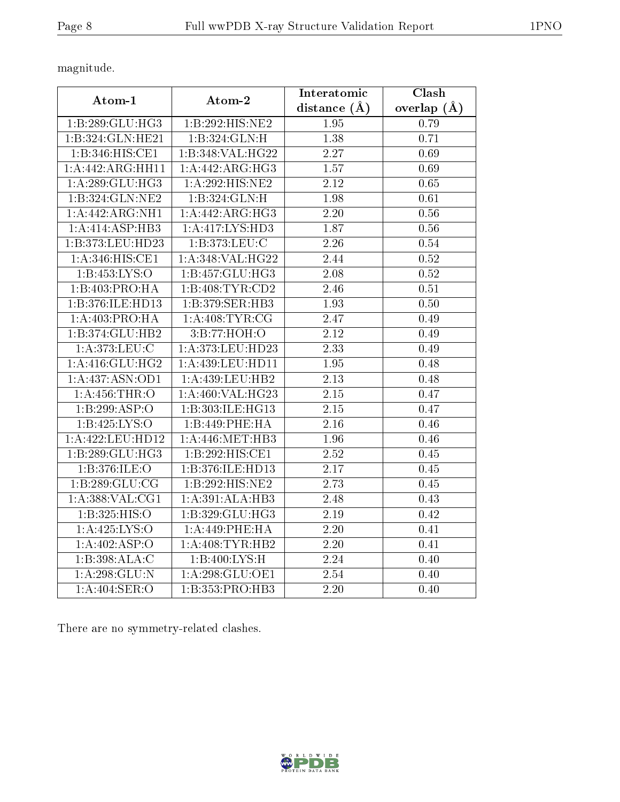magnitude.

| Atom-1                     | Atom-2              | Interatomic       | Clash             |
|----------------------------|---------------------|-------------------|-------------------|
|                            |                     | distance $(\AA)$  | overlap $(\AA)$   |
| 1:B:289:GLU:HG3            | 1:B:292:HIS:NE2     | 1.95              | 0.79              |
| 1:B:324:GLN:HE21           | 1:B:324:GLN:H       | 1.38              | 0.71              |
| 1:B:346:HIS:CE1            | 1:B:348: VAL: HG22  | 2.27              | 0.69              |
| 1:A:442:ARG:HH11           | 1:A:442:ARG:HG3     | 1.57              | 0.69              |
| 1:A:289:GLU:HG3            | $1:$ A:292:HIS:NE2  | $\overline{2.12}$ | 0.65              |
| 1:B:324:GLN:NE2            | 1:B:324:GLN:H       | 1.98              | 0.61              |
| 1:A:442:ARG:NH1            | 1:A:442:ARG:HG3     | 2.20              | 0.56              |
| 1:A:414:ASP:HB3            | 1: A: 417: LYS: HD3 | 1.87              | 0.56              |
| 1:B:373:LEU:HD23           | 1:B:373:LEU:C       | $\overline{2.26}$ | 0.54              |
| 1: A:346:HIS:CE1           | 1:A:348:VAL:HG22    | 2.44              | 0.52              |
| 1: B: 453: LYS: O          | 1:B:457:GLU:HG3     | 2.08              | 0.52              |
| 1:B:403:PRO:HA             | 1:B:408:TYR:CD2     | 2.46              | 0.51              |
| 1:B:376:ILE:HD13           | 1:B:379:SER:HB3     | 1.93              | 0.50              |
| 1:A:403:PRO:HA             | 1: A:408: TYR: CG   | 2.47              | 0.49              |
| 1:B:374:GLU:HB2            | 3:B:77:HOH:O        | $\overline{2.12}$ | 0.49              |
| 1:A:373:LEU:C              | 1:A:373:LEU:HD23    | 2.33              | 0.49              |
| 1:A:416:GLU:HG2            | 1:A:439:LEU:HDI1    | 1.95              | 0.48              |
| 1:A:437:ASN:OD1            | 1:A:439:LEU:HB2     | 2.13              | 0.48              |
| 1: A: 456: THR:O           | 1:A:460:VAL:HG23    | 2.15              | 0.47              |
| 1:B:299:ASP:O              | 1:B:303:ILE:HG13    | 2.15              | 0.47              |
| 1: B: 425: LYS: O          | 1:B:449:PHE:HA      | 2.16              | 0.46              |
| 1:A:422:LEU:HD12           | 1:A:446:MET:HB3     | $\overline{1.96}$ | $\overline{0.46}$ |
| 1:B:289:GLU:HG3            | 1:B:292:HIS:CE1     | 2.52              | 0.45              |
| 1:B:376:ILE:O              | 1:B:376:ILE:HD13    | 2.17              | 0.45              |
| 1:B:289:GLU:CG             | 1:B:292:HIS:NE2     | 2.73              | 0.45              |
| 1: A: 388: VAL: CG1        | 1:A:391:ALA:HB3     | 2.48              | 0.43              |
| 1:B:325:HIS:O              | 1:B:329:GLU:HG3     | 2.19              | 0.42              |
| 1:A:425:LYS:O              | 1:A:449:PHE:HA      | 2.20              | $0.41\,$          |
| $1:A:402:AS\overline{P:O}$ | 1: A:408: TYR:HB2   | 2.20              | 0.41              |
| 1:B:398:ALA:C              | 1:B:400:LYS:H       | 2.24              | 0.40              |
| 1: A:298: GLU:N            | 1: A:298: GLU:OE1   | 2.54              | 0.40              |
| 1:A:404:SER:O              | 1:B:353:PRO:HB3     | $\overline{2.20}$ | 0.40              |

There are no symmetry-related clashes.

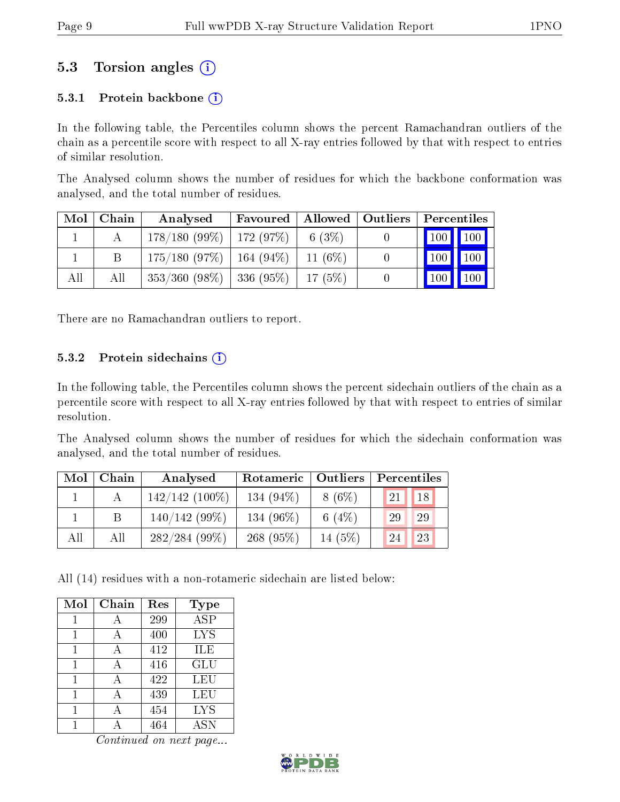### 5.3 Torsion angles (i)

#### 5.3.1 Protein backbone  $(i)$

In the following table, the Percentiles column shows the percent Ramachandran outliers of the chain as a percentile score with respect to all X-ray entries followed by that with respect to entries of similar resolution.

The Analysed column shows the number of residues for which the backbone conformation was analysed, and the total number of residues.

| Mol | Chain | Analysed                      | Favoured | Allowed    | $\vert$ Outliers | Percentiles                  |             |
|-----|-------|-------------------------------|----------|------------|------------------|------------------------------|-------------|
|     |       | $178/180(99\%)$   172 (97\%)  |          | 6(3%)      |                  | $\mid$ 100 $\mid$ 100 $\mid$ |             |
|     |       | $175/180$ (97\%)   164 (94\%) |          | 11 $(6\%)$ |                  | $\vert$ 100 $\vert$          | $\vert$ 100 |
| All | All   | $353/360$ (98\%)   336 (95\%) |          | 17(5%)     |                  | '100                         | 100         |

There are no Ramachandran outliers to report.

#### 5.3.2 Protein sidechains  $(i)$

In the following table, the Percentiles column shows the percent sidechain outliers of the chain as a percentile score with respect to all X-ray entries followed by that with respect to entries of similar resolution.

The Analysed column shows the number of residues for which the sidechain conformation was analysed, and the total number of residues.

| Mol | Chain | Analysed         | Rotameric   Outliers |          | Percentiles |  |  |
|-----|-------|------------------|----------------------|----------|-------------|--|--|
|     |       | $142/142(100\%)$ | 134 $(94\%)$         | $8(6\%)$ | 18<br>21    |  |  |
|     |       | $140/142(99\%)$  | 134 (96%)            | 6 $(4%)$ | 29<br>29    |  |  |
| All | АH    | $282/284(99\%)$  | 268(95%)             | 14 (5%)  | 23<br>24    |  |  |

All (14) residues with a non-rotameric sidechain are listed below:

| Mol | Chain | Res | <b>Type</b> |
|-----|-------|-----|-------------|
|     | А     | 299 | <b>ASP</b>  |
| 1   | А     | 400 | <b>LYS</b>  |
|     |       | 412 | ILE         |
| 1   |       | 416 | GLU         |
|     | А     | 422 | LEU         |
|     |       | 439 | LEU         |
|     |       | 454 | <b>LYS</b>  |
|     |       | 464 | ASN         |

Continued on next page...

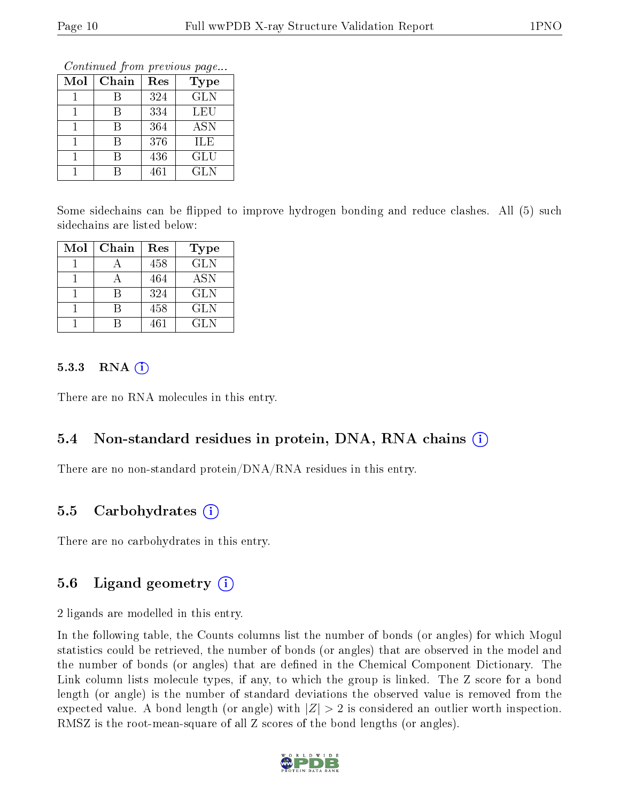Continued from previous page...

| Mol | Chain | Res | <b>Type</b> |
|-----|-------|-----|-------------|
|     | R     | 324 | <b>GLN</b>  |
|     | R     | 334 | LEU         |
|     |       | 364 | <b>ASN</b>  |
|     | R     | 376 | ILE         |
|     | R     | 436 | GLU         |
|     |       | 461 | <b>GLN</b>  |

Some sidechains can be flipped to improve hydrogen bonding and reduce clashes. All (5) such sidechains are listed below:

| Mol | Chain | Res | <b>Type</b> |
|-----|-------|-----|-------------|
|     |       | 458 | <b>GLN</b>  |
|     |       | 464 | <b>ASN</b>  |
|     |       | 324 | <b>GLN</b>  |
|     |       | 458 | <b>GLN</b>  |
|     |       | 461 | GL N        |

#### $5.3.3$  RNA  $(i)$

There are no RNA molecules in this entry.

### 5.4 Non-standard residues in protein, DNA, RNA chains (i)

There are no non-standard protein/DNA/RNA residues in this entry.

### 5.5 Carbohydrates (i)

There are no carbohydrates in this entry.

### 5.6 Ligand geometry  $(i)$

2 ligands are modelled in this entry.

In the following table, the Counts columns list the number of bonds (or angles) for which Mogul statistics could be retrieved, the number of bonds (or angles) that are observed in the model and the number of bonds (or angles) that are dened in the Chemical Component Dictionary. The Link column lists molecule types, if any, to which the group is linked. The Z score for a bond length (or angle) is the number of standard deviations the observed value is removed from the expected value. A bond length (or angle) with  $|Z| > 2$  is considered an outlier worth inspection. RMSZ is the root-mean-square of all Z scores of the bond lengths (or angles).

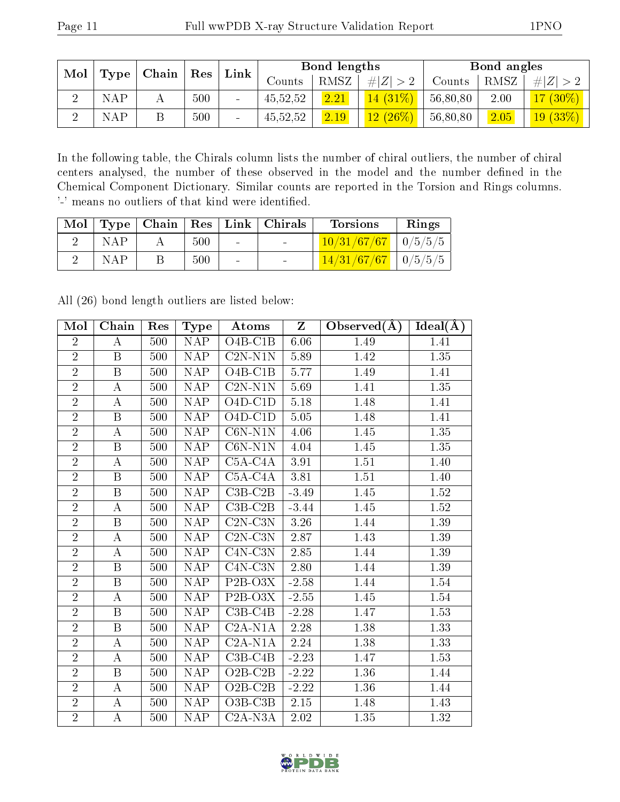| Mol |              | Chain |     | Link                     | Bond lengths |      |             | Bond angles |      |            |
|-----|--------------|-------|-----|--------------------------|--------------|------|-------------|-------------|------|------------|
|     | $Type \vert$ |       | Res |                          | Counts       | RMSZ | # $ Z  > 2$ | Counts      | RMSZ | Z          |
|     | NAP.         |       | 500 | $\overline{\phantom{a}}$ | 45,52,52     | 2.21 | $14(31\%)$  | 56,80,80    | 2.00 | $7(30\%)$  |
|     | NAP          |       | 500 | $\equiv$                 | 45,52,52     | 2.19 | $12(26\%)$  | 56,80,80    | 2.05 | $19(33\%)$ |

In the following table, the Chirals column lists the number of chiral outliers, the number of chiral centers analysed, the number of these observed in the model and the number defined in the Chemical Component Dictionary. Similar counts are reported in the Torsion and Rings columns. '-' means no outliers of that kind were identified.

|     |     |        | Mol   Type   Chain   Res   Link   Chirals | <b>Torsions</b>           | Rings |
|-----|-----|--------|-------------------------------------------|---------------------------|-------|
| NAP | 500 | $\sim$ |                                           | $10/31/67/67$   $0/5/5/5$ |       |
| NAP | 500 |        |                                           | $14/31/67/67$   0/5/5/5   |       |

All (26) bond length outliers are listed below:

| Mol            | Chain                   | Res | $_{\rm Type}$           | Atoms                        | Z        | Observed $(A)$ | Ideal(A)          |
|----------------|-------------------------|-----|-------------------------|------------------------------|----------|----------------|-------------------|
| $\overline{2}$ | А                       | 500 | <b>NAP</b>              | $O4B-C1B$                    | 6.06     | 1.49           | 1.41              |
| $\overline{2}$ | B                       | 500 | <b>NAP</b>              | $C2N- N1N$                   | 5.89     | 1.42           | 1.35              |
| $\overline{2}$ | $\boldsymbol{B}$        | 500 | <b>NAP</b>              | $\overline{\text{O}}$ 4B-C1B | 5.77     | 1.49           | 1.41              |
| $\overline{2}$ | A                       | 500 | <b>NAP</b>              | $C2N- N1N$                   | 5.69     | 1.41           | 1.35              |
| $\overline{2}$ | A                       | 500 | <b>NAP</b>              | $O4D-C1D$                    | $5.18\,$ | 1.48           | 1.41              |
| $\overline{2}$ | $\overline{B}$          | 500 | <b>NAP</b>              | $O4D-C1D$                    | 5.05     | 1.48           | 1.41              |
| $\overline{2}$ | $\boldsymbol{A}$        | 500 | $\overline{\text{NAP}}$ | $\overline{\text{C6N-N1N}}$  | 4.06     | 1.45           | $\overline{1.35}$ |
| $\overline{2}$ | $\boldsymbol{B}$        | 500 | <b>NAP</b>              | $C6N- N1N$                   | 4.04     | 1.45           | 1.35              |
| $\overline{2}$ | $\boldsymbol{A}$        | 500 | <b>NAP</b>              | $\overline{\text{C5A}}$ -C4A | 3.91     | 1.51           | 1.40              |
| $\overline{2}$ | $\boldsymbol{B}$        | 500 | <b>NAP</b>              | $C5A-C4A$                    | 3.81     | 1.51           | 1.40              |
| $\overline{2}$ | $\boldsymbol{B}$        | 500 | NAP                     | $C3B-C2B$                    | $-3.49$  | 1.45           | $1.52\,$          |
| $\overline{2}$ | А                       | 500 | <b>NAP</b>              | $C3B-C2B$                    | $-3.44$  | 1.45           | 1.52              |
| $\overline{2}$ | $\boldsymbol{B}$        | 500 | <b>NAP</b>              | $C2N-C3N$                    | 3.26     | 1.44           | 1.39              |
| $\overline{2}$ | А                       | 500 | $\overline{\text{NAP}}$ | $C2N-C3N$                    | 2.87     | 1.43           | 1.39              |
| $\overline{2}$ | А                       | 500 | <b>NAP</b>              | $C4N-C3N$                    | 2.85     | 1.44           | 1.39              |
| $\overline{2}$ | $\boldsymbol{B}$        | 500 | <b>NAP</b>              | $\overline{\text{C4N}}$ -C3N | 2.80     | 1.44           | 1.39              |
| $\overline{2}$ | B                       | 500 | <b>NAP</b>              | $P2B-O3X$                    | $-2.58$  | 1.44           | 1.54              |
| $\overline{2}$ | $\boldsymbol{A}$        | 500 | NAP                     | $P2B-O3X$                    | $-2.55$  | 1.45           | 1.54              |
| $\overline{2}$ | $\overline{\mathrm{B}}$ | 500 | <b>NAP</b>              | $C3B-C4B$                    | $-2.28$  | 1.47           | $1.53\,$          |
| $\overline{2}$ | B                       | 500 | <b>NAP</b>              | $C2A- N1A$                   | 2.28     | 1.38           | 1.33              |
| $\overline{2}$ | A                       | 500 | <b>NAP</b>              | $C2A-N1A$                    | 2.24     | 1.38           | 1.33              |
| $\overline{2}$ | $\boldsymbol{A}$        | 500 | NAP                     | $C3B-C4B$                    | $-2.23$  | 1.47           | 1.53              |
| $\overline{2}$ | B                       | 500 | <b>NAP</b>              | $O2B-C2B$                    | $-2.22$  | 1.36           | 1.44              |
| $\overline{2}$ | A                       | 500 | <b>NAP</b>              | $O2B-C2B$                    | $-2.22$  | 1.36           | 1.44              |
| $\overline{2}$ | $\boldsymbol{A}$        | 500 | <b>NAP</b>              | $O3B-C3B$                    | 2.15     | 1.48           | 1.43              |
| $\overline{2}$ | А                       | 500 | <b>NAP</b>              | $C2A-N3A$                    | 2.02     | 1.35           | 1.32              |

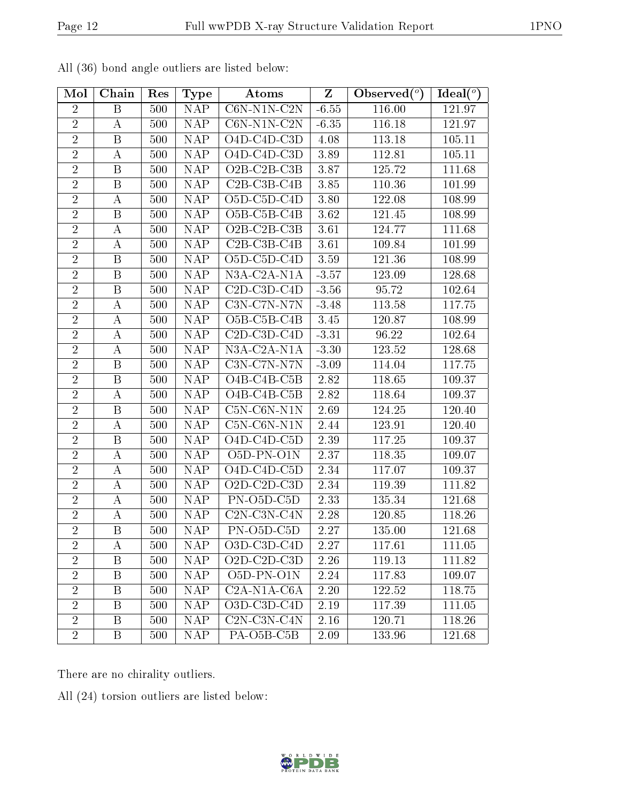| Mol            | Chain            | Res | <b>Type</b>             | Atoms                                              | $\mathbf{Z}$      | Observed $(°)$ | Ideal $\binom{\overline{o}}{}$ |
|----------------|------------------|-----|-------------------------|----------------------------------------------------|-------------------|----------------|--------------------------------|
| $\overline{2}$ | $\boldsymbol{B}$ | 500 | <b>NAP</b>              | $\overline{\text{C6N-N1N-C2N}}$                    | $-6.55$           | 116.00         | 121.97                         |
| $\overline{2}$ | $\boldsymbol{A}$ | 500 | <b>NAP</b>              | $C6N-N1N-C2N$                                      | $-6.35$           | 116.18         | 121.97                         |
| $\overline{2}$ | B                | 500 | <b>NAP</b>              | O4D-C4D-C3D                                        | 4.08              | 113.18         | 105.11                         |
| $\overline{2}$ | $\boldsymbol{A}$ | 500 | NAP                     | $O4D-C4D-C3D$                                      | 3.89              | 112.81         | 105.11                         |
| $\overline{2}$ | Β                | 500 | <b>NAP</b>              | O <sub>2</sub> B-C <sub>2</sub> B-C <sub>3</sub> B | 3.87              | 125.72         | 111.68                         |
| $\overline{2}$ | $\boldsymbol{B}$ | 500 | NAP                     | $C2B-C3B-C4B$                                      | 3.85              | 110.36         | 101.99                         |
| $\overline{2}$ | А                | 500 | <b>NAP</b>              | O <sub>5</sub> D-C <sub>5</sub> D-C <sub>4</sub> D | 3.80              | 122.08         | 108.99                         |
| $\overline{2}$ | $\, {\bf B}$     | 500 | $\overline{\text{NAP}}$ | O5B-C5B-C4B                                        | 3.62              | 121.45         | 108.99                         |
| $\overline{2}$ | А                | 500 | <b>NAP</b>              | O <sub>2</sub> B-C <sub>2</sub> B-C <sub>3</sub> B | 3.61              | 124.77         | 111.68                         |
| $\overline{2}$ | А                | 500 | <b>NAP</b>              | $C2B-C3B-C4B$                                      | 3.61              | 109.84         | 101.99                         |
| $\overline{2}$ | B                | 500 | <b>NAP</b>              | O <sub>5</sub> D-C <sub>5</sub> D-C <sub>4</sub> D | 3.59              | 121.36         | 108.99                         |
| $\overline{2}$ | $\boldsymbol{B}$ | 500 | NAP                     | N3A-C2A-N1A                                        | $-3.57$           | 123.09         | 128.68                         |
| $\overline{2}$ | B                | 500 | <b>NAP</b>              | $C2D-C3D-C4D$                                      | $-3.56$           | 95.72          | 102.64                         |
| $\overline{2}$ | А                | 500 | <b>NAP</b>              | $C3N-C7N- N7N$                                     | $-3.48$           | 113.58         | 117.75                         |
| $\overline{2}$ | А                | 500 | <b>NAP</b>              | O5B-C5B-C4B                                        | 3.45              | 120.87         | 108.99                         |
| $\overline{2}$ | А                | 500 | <b>NAP</b>              | $C2D-C3D-C4D$                                      | $-3.31$           | 96.22          | 102.64                         |
| $\overline{2}$ | А                | 500 | <b>NAP</b>              | N3A-C2A-N1A                                        | $-3.30$           | 123.52         | 128.68                         |
| $\overline{2}$ | $\boldsymbol{B}$ | 500 | <b>NAP</b>              | C3N-C7N-N7N                                        | $-3.09$           | 114.04         | 117.75                         |
| $\overline{2}$ | B                | 500 | <b>NAP</b>              | O4B-C4B-C5B                                        | 2.82              | 118.65         | 109.37                         |
| $\overline{2}$ | A                | 500 | <b>NAP</b>              | $\overline{\mathrm{O4B\text{-}C4B\text{-}C5B}}$    | 2.82              | 118.64         | 109.37                         |
| $\overline{2}$ | B                | 500 | <b>NAP</b>              | $C5N-C6N-N1N$                                      | 2.69              | 124.25         | 120.40                         |
| $\overline{2}$ | А                | 500 | NAP                     | $C5N-C6N-N1N$                                      | 2.44              | 123.91         | 120.40                         |
| $\overline{2}$ | $\, {\bf B}$     | 500 | NAP                     | O <sub>4</sub> D-C <sub>4</sub> D-C <sub>5</sub> D | 2.39              | 117.25         | 109.37                         |
| $\overline{2}$ | $\boldsymbol{A}$ | 500 | <b>NAP</b>              | O5D-PN-O1N                                         | 2.37              | 118.35         | 109.07                         |
| $\overline{2}$ | A                | 500 | $\overline{\text{NAP}}$ | O4D-C4D-C5D                                        | 2.34              | 117.07         | 109.37                         |
| $\overline{2}$ | А                | 500 | <b>NAP</b>              | O2D-C2D-C3D                                        | 2.34              | 119.39         | 111.82                         |
| $\overline{2}$ | А                | 500 | $\overline{\text{NAP}}$ | PN-O5D-C5D                                         | $\overline{2.33}$ | 135.34         | 121.68                         |
| $\overline{2}$ | А                | 500 | <b>NAP</b>              | C2N-C3N-C4N                                        | 2.28              | 120.85         | 118.26                         |
| $\overline{2}$ | $\, {\bf B}$     | 500 | NAP                     | PN-O5D-C5D                                         | 2.27              | 135.00         | 121.68                         |
| $\overline{2}$ | А                | 500 | <b>NAP</b>              | O3D-C3D-C4D                                        | 2.27              | 117.61         | 111.05                         |
| $\overline{2}$ | $\mathbf{B}$     | 500 | <b>NAP</b>              | O2D-C2D-C3D                                        | 2.26              | 119.13         | 111.82                         |
| $\overline{2}$ | Β                | 500 | <b>NAP</b>              | O <sub>5</sub> D-PN-O <sub>1</sub> N               | 2.24              | 117.83         | 109.07                         |
| $\overline{2}$ | B                | 500 | <b>NAP</b>              | $C2A-N1A-C6A$                                      | 2.20              | 122.52         | 118.75                         |
| $\overline{2}$ | Β                | 500 | <b>NAP</b>              | O3D-C3D-C4D                                        | 2.19              | 117.39         | 111.05                         |
| $\overline{2}$ | Β                | 500 | <b>NAP</b>              | $C2N-C3N-C4N$                                      | 2.16              | 120.71         | 118.26                         |
| $\overline{2}$ | Β                | 500 | <b>NAP</b>              | PA-O <sub>5</sub> B-C <sub>5</sub> B               | 2.09              | 133.96         | 121.68                         |

All (36) bond angle outliers are listed below:

There are no chirality outliers.

All (24) torsion outliers are listed below:

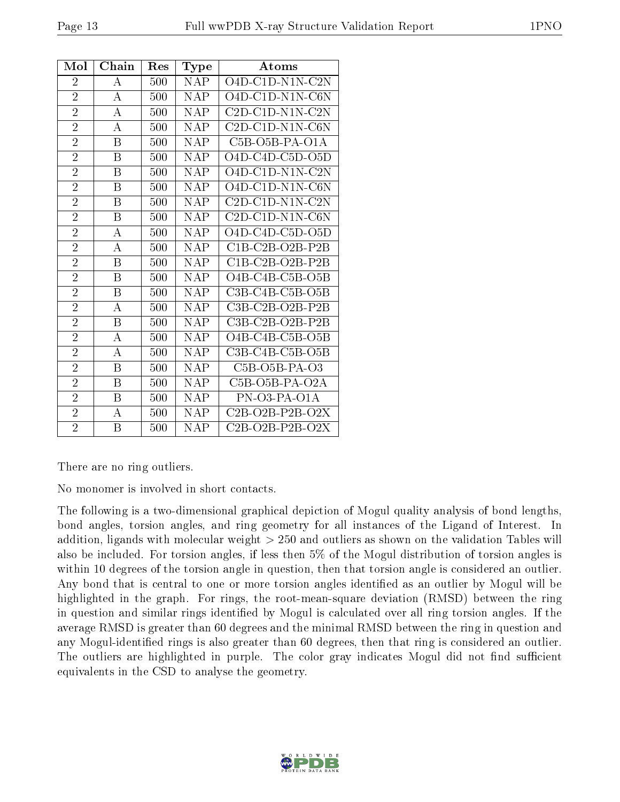| Mol            | Chain | Res | Type        | Atoms             |
|----------------|-------|-----|-------------|-------------------|
| $\overline{2}$ | А     | 500 | <b>NAP</b>  | $O4D-C1D-N1N-C2N$ |
| $\overline{2}$ | А     | 500 | <b>NAP</b>  | O4D-C1D-N1N-C6N   |
| $\overline{2}$ | A     | 500 | <b>NAP</b>  | $C2D-C1D-N1N-C2N$ |
| $\overline{2}$ | A     | 500 | <b>NAP</b>  | $C2D-C1D-N1N-C6N$ |
| $\overline{2}$ | B     | 500 | <b>NAP</b>  | $C5B-O5B-PA-O1A$  |
| $\overline{2}$ | B     | 500 | <b>NAP</b>  | O4D-C4D-C5D-O5D   |
| $\overline{2}$ | Β     | 500 | <b>NAP</b>  | O4D-C1D-N1N-C2N   |
| $\overline{2}$ | B     | 500 | <b>NAP</b>  | $O4D-C1D-N1N-C6N$ |
| $\overline{2}$ | B     | 500 | <b>NAP</b>  | $C2D-C1D-N1N-C2N$ |
| $\overline{2}$ | B     | 500 | <b>NAP</b>  | $C2D-C1D-N1N-C6N$ |
| $\overline{2}$ | A     | 500 | <b>NAP</b>  | O4D-C4D-C5D-O5D   |
| $\overline{2}$ | А     | 500 | <b>NAP</b>  | $C1B-C2B-O2B-P2B$ |
| $\overline{2}$ | B     | 500 | <b>NAP</b>  | $C1B-C2B-O2B-P2B$ |
| $\overline{2}$ | B     | 500 | <b>NAP</b>  | O4B-C4B-C5B-O5B   |
| $\overline{2}$ | B     | 500 | <b>NAP</b>  | $C3B-C4B-C5B-O5B$ |
| $\overline{2}$ | A     | 500 | <b>NAP</b>  | C3B-C2B-O2B-P2B   |
| $\overline{2}$ | Β     | 500 | <b>NAP</b>  | $C3B-C2B-O2B-P2B$ |
| $\overline{2}$ | А     | 500 | <b>NAP</b>  | O4B-C4B-C5B-O5B   |
| $\overline{2}$ | А     | 500 | <b>NAP</b>  | $C3B-C4B-C5B-O5B$ |
| $\overline{2}$ | B     | 500 | <b>NAP</b>  | $C5B-O5B-PA-O3$   |
| $\overline{2}$ | B     | 500 | $\bar{N}AP$ | $C5B-O5B-PA-O2A$  |
| $\overline{2}$ | Β     | 500 | <b>NAP</b>  | PN-03-PA-01A      |
| $\overline{2}$ | А     | 500 | <b>NAP</b>  | $C2B-O2B-P2B-O2X$ |
| $\overline{2}$ | B     | 500 | <b>NAP</b>  | $C2B-O2B-P2B-O2X$ |

There are no ring outliers.

No monomer is involved in short contacts.

The following is a two-dimensional graphical depiction of Mogul quality analysis of bond lengths, bond angles, torsion angles, and ring geometry for all instances of the Ligand of Interest. In addition, ligands with molecular weight > 250 and outliers as shown on the validation Tables will also be included. For torsion angles, if less then 5% of the Mogul distribution of torsion angles is within 10 degrees of the torsion angle in question, then that torsion angle is considered an outlier. Any bond that is central to one or more torsion angles identified as an outlier by Mogul will be highlighted in the graph. For rings, the root-mean-square deviation (RMSD) between the ring in question and similar rings identified by Mogul is calculated over all ring torsion angles. If the average RMSD is greater than 60 degrees and the minimal RMSD between the ring in question and any Mogul-identified rings is also greater than 60 degrees, then that ring is considered an outlier. The outliers are highlighted in purple. The color gray indicates Mogul did not find sufficient equivalents in the CSD to analyse the geometry.

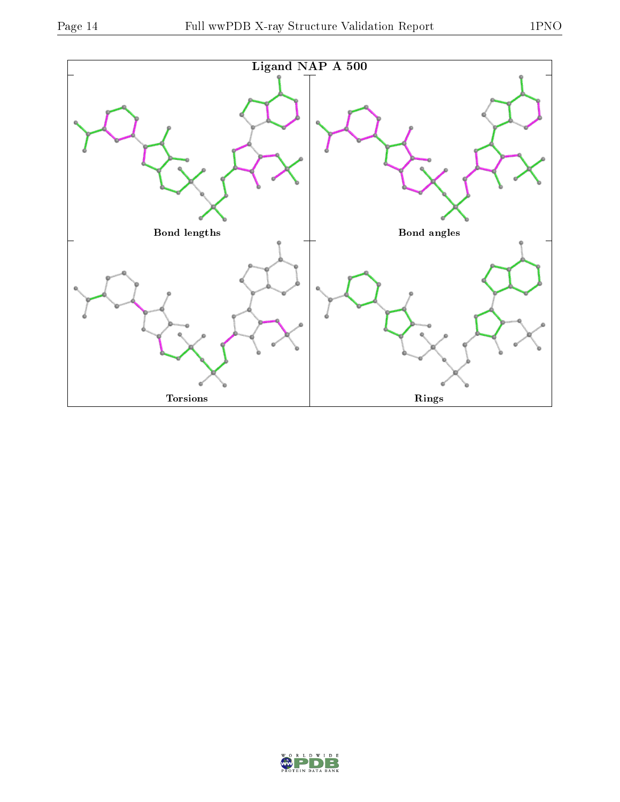

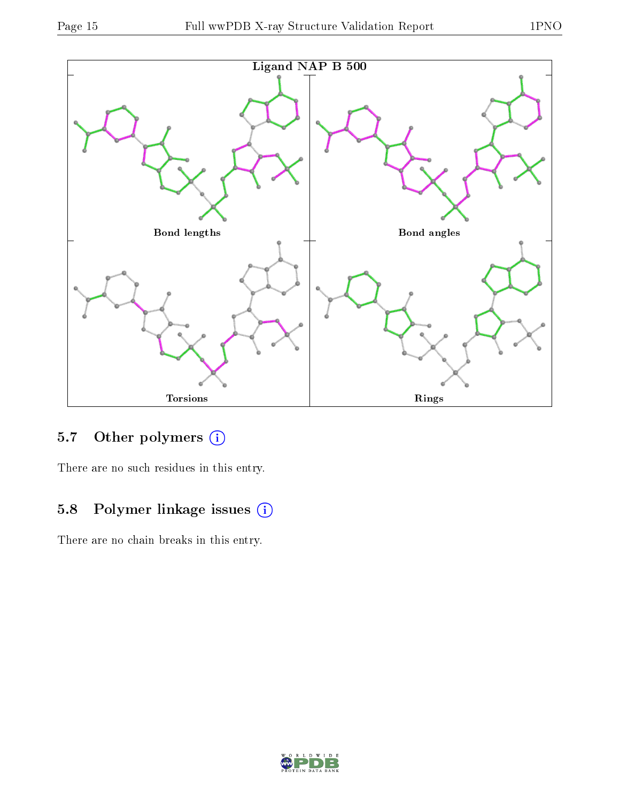

## 5.7 [O](https://www.wwpdb.org/validation/2017/XrayValidationReportHelp#nonstandard_residues_and_ligands)ther polymers (i)

There are no such residues in this entry.

## 5.8 Polymer linkage issues (i)

There are no chain breaks in this entry.

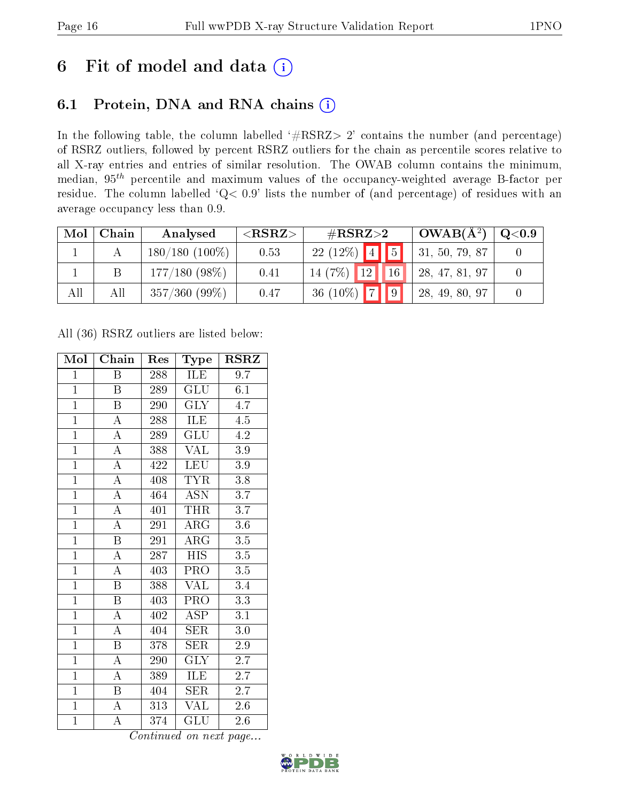# 6 Fit of model and data  $(i)$

## 6.1 Protein, DNA and RNA chains  $(i)$

In the following table, the column labelled  $#RSRZ> 2'$  contains the number (and percentage) of RSRZ outliers, followed by percent RSRZ outliers for the chain as percentile scores relative to all X-ray entries and entries of similar resolution. The OWAB column contains the minimum, median,  $95<sup>th</sup>$  percentile and maximum values of the occupancy-weighted average B-factor per residue. The column labelled ' $Q< 0.9$ ' lists the number of (and percentage) of residues with an average occupancy less than 0.9.

| Mol | Chain | Analysed         | ${ <\hspace{-1.5pt}{\mathrm{RSRZ}} \hspace{-1.5pt}>}$ | $\#\text{RSRZ}{>}2$  | $OWAB(A^2)$    | $\rm Q\textcolor{black}{<}0.9$ |
|-----|-------|------------------|-------------------------------------------------------|----------------------|----------------|--------------------------------|
|     |       | $180/180(100\%)$ | 0.53                                                  | $22(12%)$ 4 5        | 31, 50, 79, 87 |                                |
|     |       | $177/180(98\%)$  | 0.41                                                  | $14(7%)$ 12<br>16    | 28, 47, 81, 97 |                                |
| All | All   | $357/360(99\%)$  | 0.47                                                  | 36 (10%) $\boxed{7}$ | 28, 49, 80, 97 |                                |

All (36) RSRZ outliers are listed below:

| Mol            | Chain                   | Res | Type                    | $\rm RSRZ$       |
|----------------|-------------------------|-----|-------------------------|------------------|
| $\mathbf{1}$   | Β                       | 288 | ILE                     | 9.7              |
| $\overline{1}$ | Β                       | 289 | GLU                     | 6.1              |
| $\overline{1}$ | $\overline{\mathrm{B}}$ | 290 | $\overline{\text{GLY}}$ | 4.7              |
| $\overline{1}$ | $\boldsymbol{A}$        | 288 | <b>ILE</b>              | 4.5              |
| $\overline{1}$ | $\overline{\rm A}$      | 289 | $\overline{{\rm GLU}}$  | $\overline{4.2}$ |
| $\overline{1}$ | $\overline{\rm A}$      | 388 | <b>VAL</b>              | $3.9\,$          |
| $\overline{1}$ | $\overline{\rm A}$      | 422 | <b>LEU</b>              | 3.9              |
| $\overline{1}$ | $\overline{\rm A}$      | 408 | <b>TYR</b>              | 3.8              |
| $\overline{1}$ | $\overline{\rm A}$      | 464 | <b>ASN</b>              | 3.7              |
| $\overline{1}$ | $\overline{\rm A}$      | 401 | <b>THR</b>              | $\overline{3.7}$ |
| $\overline{1}$ | $\overline{\rm A}$      | 291 | $\rm{ARG}$              | $3.6\,$          |
| $\overline{1}$ | $\overline{\mathrm{B}}$ | 291 | $\overline{\rm{ARG}}$   | $\overline{3.5}$ |
| $\overline{1}$ | $\overline{\rm A}$      | 287 | <b>HIS</b>              | $3.5\,$          |
| $\overline{1}$ | $\overline{\rm A}$      | 403 | PRO                     | 3.5              |
| $\overline{1}$ | $\overline{\mathrm{B}}$ | 388 | $\overline{\text{VAL}}$ | 3.4              |
| $\mathbf{1}$   | $\boldsymbol{B}$        | 403 | PRO                     | $\overline{3.3}$ |
| $\overline{1}$ | $\overline{\rm A}$      | 402 | <b>ASP</b>              | $\overline{3.1}$ |
| $\overline{1}$ | $\boldsymbol{A}$        | 404 | <b>SER</b>              | $3.0\,$          |
| $\overline{1}$ | $\overline{\mathrm{B}}$ | 378 | <b>SER</b>              | 2.9              |
| $\overline{1}$ | $\overline{\rm A}$      | 290 | $\overline{\text{GLY}}$ | 2.7              |
| $\overline{1}$ | $\boldsymbol{A}$        | 389 | <b>ILE</b>              | 2.7              |
| $\overline{1}$ | B                       | 404 | <b>SER</b>              | $2.\bar{7}$      |
| $\mathbf{1}$   | A                       | 313 | <b>VAL</b>              | $2.6\,$          |
| $\mathbf{1}$   | A                       | 374 | GLU                     | 2.6              |

Continued on next page...

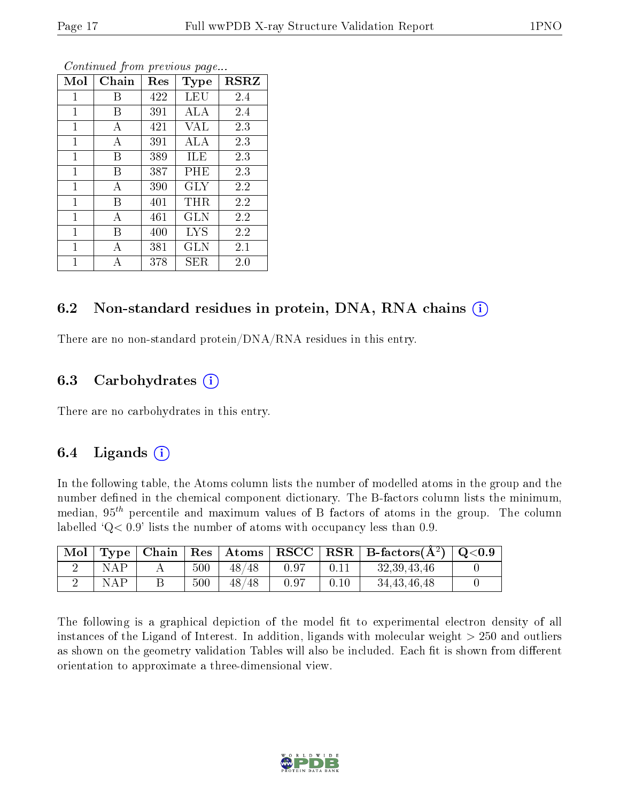| Mol          | Chain | Res | Type       | $_{\rm RSRZ}$ |
|--------------|-------|-----|------------|---------------|
| 1            | Β     | 422 | LEU        | 2.4           |
| 1            | В     | 391 | ALA        | 2.4           |
| $\mathbf{1}$ | А     | 421 | VAL        | 2.3           |
| 1            | А     | 391 | ALA        | 2.3           |
| $\mathbf 1$  | Β     | 389 | ILE        | 2.3           |
| $\mathbf{1}$ | Β     | 387 | PHE        | 2.3           |
| $\mathbf{1}$ | А     | 390 | GLY        | 2.2           |
| $\mathbf{1}$ | В     | 401 | THR        | 2.2           |
| $\mathbf{1}$ | А     | 461 | GLN        | 2.2           |
| $\mathbf{1}$ | В     | 400 | <b>LYS</b> | 2.2           |
| 1            | А     | 381 | <b>GLN</b> | 2.1           |
| 1            | А     | 378 | SER        | 2.0           |

Continued from previous page...

### 6.2 Non-standard residues in protein, DNA, RNA chains  $(i)$

There are no non-standard protein/DNA/RNA residues in this entry.

### 6.3 Carbohydrates  $(i)$

There are no carbohydrates in this entry.

### 6.4 Ligands  $(i)$

In the following table, the Atoms column lists the number of modelled atoms in the group and the number defined in the chemical component dictionary. The B-factors column lists the minimum, median,  $95<sup>th</sup>$  percentile and maximum values of B factors of atoms in the group. The column labelled  $Q< 0.9$  lists the number of atoms with occupancy less than 0.9.

|     |     | Mol   Type   Chain   Res   Atoms |      |      | $\sqrt{\text{RSCC}}$ RSR $\sqrt{\text{B-factors}}$ $(\AA^2)$ $\sqrt{\text{Q}}$ <0.9 |  |
|-----|-----|----------------------------------|------|------|-------------------------------------------------------------------------------------|--|
| NAP | 500 | 48/48                            | 0.97 | 0.11 | 32, 39, 43, 46                                                                      |  |
| NAP | 500 | 48/48                            | 0.97 | 0.10 | 34, 43, 46, 48                                                                      |  |

The following is a graphical depiction of the model fit to experimental electron density of all instances of the Ligand of Interest. In addition, ligands with molecular weight  $> 250$  and outliers as shown on the geometry validation Tables will also be included. Each fit is shown from different orientation to approximate a three-dimensional view.

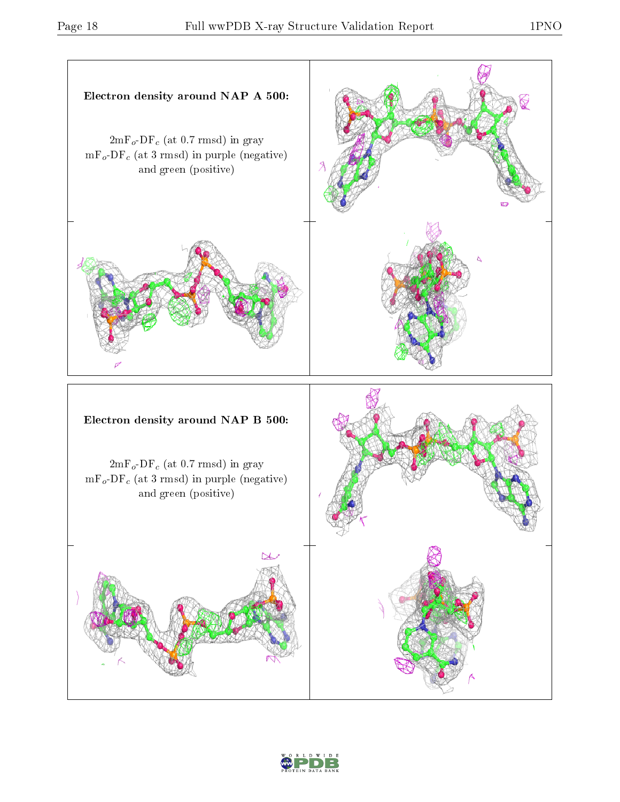